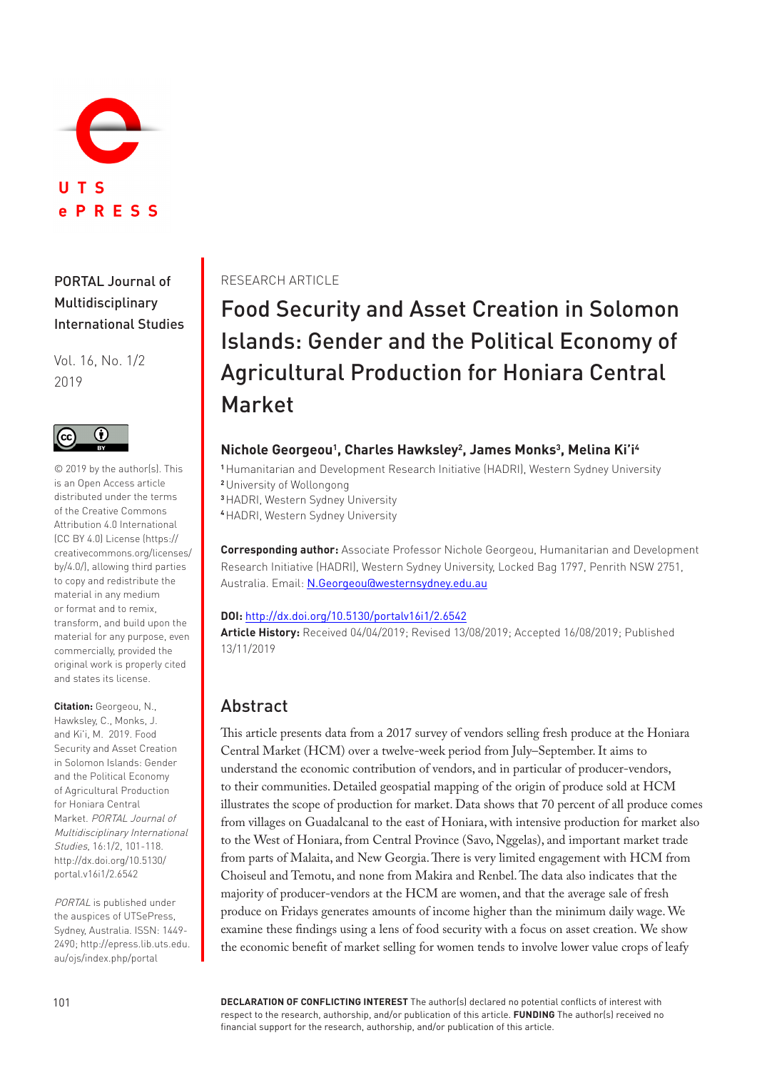

<span id="page-0-0"></span>PORTAL Journal of Multidisciplinary International Studies

Vol. 16, No. 1/2 2019



© 2019 by the author(s). This is an Open Access article distributed under the terms of the Creative Commons Attribution 4.0 International (CC BY 4.0) License (https:// creativecommons.org/licenses/ by/4.0/), allowing third parties to copy and redistribute the material in any medium or format and to remix, transform, and build upon the material for any purpose, even commercially, provided the original work is properly cited and states its license.

**Citation:** Georgeou, N., Hawksley, C., Monks, J. and Ki'i, M. 2019. Food Security and Asset Creation in Solomon Islands: Gender and the Political Economy of Agricultural Production for Honiara Central Market. PORTAL Journal of Multidisciplinary International Studies, 16:1/2, 101-118. [http://dx.doi.org/10.5130/](http://dx.doi.org/10.5130/portal.v16i1/2.6542) [portal.v16i1/2.6542](http://dx.doi.org/10.5130/portal.v16i1/2.6542)

PORTAL is published under the auspices of UTSePress, Sydney, Australia. ISSN: 1449- 2490; [http://epress.lib.uts.edu.](http://epress.lib.uts.edu.au/ojs/index.php/portal) [au/ojs/index.php/portal](http://epress.lib.uts.edu.au/ojs/index.php/portal)

### RESEARCH ARTICLE

Food Security and Asset Creation in Solomon Islands: Gender and the Political Economy of Agricultural Production for Honiara Central Market

### **Nichole Georgeou<sup>1</sup> , Charles Hawksley<sup>2</sup> , James Monks<sup>3</sup> , Melina Ki'i<sup>4</sup>**

**<sup>1</sup>**Humanitarian and Development Research Initiative (HADRI), Western Sydney University

**<sup>2</sup>**University of Wollongong

**<sup>3</sup>**HADRI, Western Sydney University

**<sup>4</sup>**HADRI, Western Sydney University

**Corresponding author:** Associate Professor Nichole Georgeou, Humanitarian and Development Research Initiative (HADRI), Western Sydney University, Locked Bag 1797, Penrith NSW 2751, Australia. Email: [N.Georgeou@westernsydney.edu.au](mailto:N.Georgeou%40westernsydney.edu.au?subject=)

#### **DOI:** <http://dx.doi.org/10.5130/portalv16i1/2.6542>

**Article History:** Received 04/04/2019; Revised 13/08/2019; Accepted 16/08/2019; Published 13/11/2019

# Abstract

This article presents data from a 2017 survey of vendors selling fresh produce at the Honiara Central Market (HCM) over a twelve-week period from July–September. It aims to understand the economic contribution of vendors, and in particular of producer-vendors, to their communities. Detailed geospatial mapping of the origin of produce sold at HCM illustrates the scope of production for market. Data shows that 70 percent of all produce comes from villages on Guadalcanal to the east of Honiara, with intensive production for market also to the West of Honiara, from Central Province (Savo, Nggelas), and important market trade from parts of Malaita, and New Georgia. There is very limited engagement with HCM from Choiseul and Temotu, and none from Makira and Renbel. The data also indicates that the majority of producer-vendors at the HCM are women, and that the average sale of fresh produce on Fridays generates amounts of income higher than the minimum daily wage. We examine these findings using a lens of food security with a focus on asset creation. We show the economic benefit of market selling for women tends to involve lower value crops of leafy

**DECLARATION OF CONFLICTING INTEREST** The author(s) declared no potential conflicts of interest with respect to the research, authorship, and/or publication of this article. **FUNDING** The author(s) received no financial support for the research, authorship, and/or publication of this article.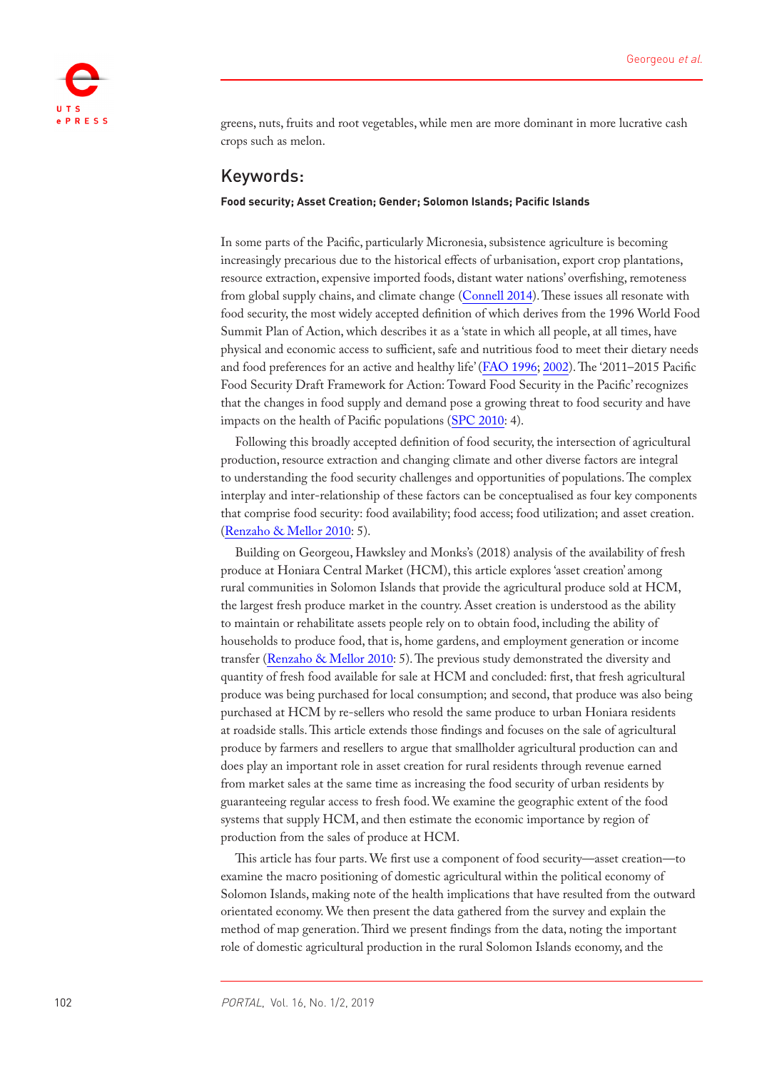

greens, nuts, fruits and root vegetables, while men are more dominant in more lucrative cash crops such as melon.

### Keywords:

#### **Food security; Asset Creation; Gender; Solomon Islands; Pacific Islands**

In some parts of the Pacific, particularly Micronesia, subsistence agriculture is becoming increasingly precarious due to the historical effects of urbanisation, export crop plantations, resource extraction, expensive imported foods, distant water nations' overfishing, remoteness from global supply chains, and climate change (Connell 2014). These issues all resonate with food security, the most widely accepted definition of which derives from the 1996 World Food Summit Plan of Action, which describes it as a 'state in which all people, at all times, have physical and economic access to sufficient, safe and nutritious food to meet their dietary needs and food preferences for an active and healthy life' (FAO 1996; [2002](#page-0-0)). The '2011–2015 Pacific Food Security Draft Framework for Action: Toward Food Security in the Pacific' recognizes that the changes in food supply and demand pose a growing threat to food security and have impacts on the health of Pacific populations (SPC 2010: 4).

Following this broadly accepted definition of food security, the intersection of agricultural production, resource extraction and changing climate and other diverse factors are integral to understanding the food security challenges and opportunities of populations. The complex interplay and inter-relationship of these factors can be conceptualised as four key components that comprise food security: food availability; food access; food utilization; and asset creation. (Renzaho & Mellor 2010: 5).

Building on Georgeou, Hawksley and Monks's (2018) analysis of the availability of fresh produce at Honiara Central Market (HCM), this article explores 'asset creation' among rural communities in Solomon Islands that provide the agricultural produce sold at HCM, the largest fresh produce market in the country. Asset creation is understood as the ability to maintain or rehabilitate assets people rely on to obtain food, including the ability of households to produce food, that is, home gardens, and employment generation or income transfer (Renzaho & Mellor 2010: 5). The previous study demonstrated the diversity and quantity of fresh food available for sale at HCM and concluded: first, that fresh agricultural produce was being purchased for local consumption; and second, that produce was also being purchased at HCM by re-sellers who resold the same produce to urban Honiara residents at roadside stalls. This article extends those findings and focuses on the sale of agricultural produce by farmers and resellers to argue that smallholder agricultural production can and does play an important role in asset creation for rural residents through revenue earned from market sales at the same time as increasing the food security of urban residents by guaranteeing regular access to fresh food. We examine the geographic extent of the food systems that supply HCM, and then estimate the economic importance by region of production from the sales of produce at HCM.

This article has four parts. We first use a component of food security—asset creation—to examine the macro positioning of domestic agricultural within the political economy of Solomon Islands, making note of the health implications that have resulted from the outward orientated economy. We then present the data gathered from the survey and explain the method of map generation. Third we present findings from the data, noting the important role of domestic agricultural production in the rural Solomon Islands economy, and the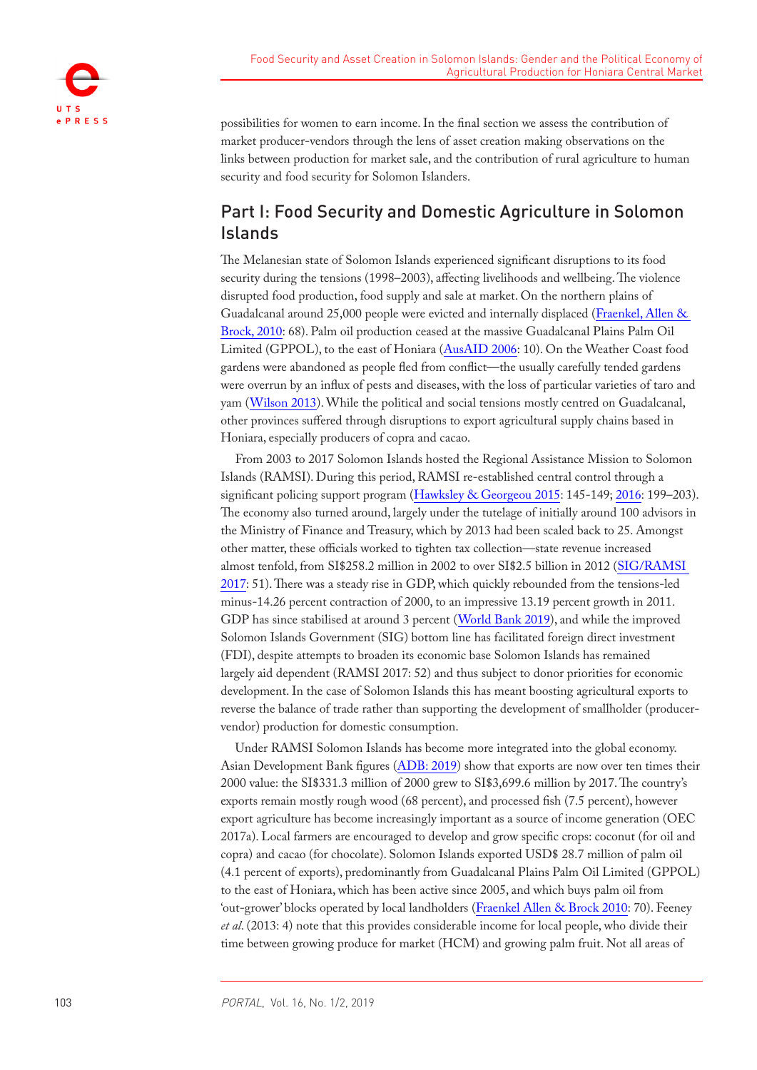

possibilities for women to earn income. In the final section we assess the contribution of market producer-vendors through the lens of asset creation making observations on the links between production for market sale, and the contribution of rural agriculture to human security and food security for Solomon Islanders.

# Part I: Food Security and Domestic Agriculture in Solomon Islands

The Melanesian state of Solomon Islands experienced significant disruptions to its food security during the tensions (1998–2003), affecting livelihoods and wellbeing. The violence disrupted food production, food supply and sale at market. On the northern plains of Guadalcanal around 25,000 people were evicted and internally displaced (Fraenkel, Allen & Brock, 2010: 68). Palm oil production ceased at the massive Guadalcanal Plains Palm Oil Limited (GPPOL), to the east of Honiara ([AusAID 2006:](#page-15-0) 10). On the Weather Coast food gardens were abandoned as people fled from conflict—the usually carefully tended gardens were overrun by an influx of pests and diseases, with the loss of particular varieties of taro and yam ([Wilson 2013](#page-17-0)). While the political and social tensions mostly centred on Guadalcanal, other provinces suffered through disruptions to export agricultural supply chains based in Honiara, especially producers of copra and cacao.

From 2003 to 2017 Solomon Islands hosted the Regional Assistance Mission to Solomon Islands (RAMSI). During this period, RAMSI re-established central control through a significant policing support program (Hawksley & Georgeou 2015: 145-149; [2016](#page-16-0): 199–203). The economy also turned around, largely under the tutelage of initially around 100 advisors in the Ministry of Finance and Treasury, which by 2013 had been scaled back to 25. Amongst other matter, these officials worked to tighten tax collection—state revenue increased almost tenfold, from SI\$258.2 million in 2002 to over SI\$2.5 billion in 2012 ([SIG/RAMSI](#page-17-1)  [2017:](#page-17-1) 51). There was a steady rise in GDP, which quickly rebounded from the tensions-led minus-14.26 percent contraction of 2000, to an impressive 13.19 percent growth in 2011. GDP has since stabilised at around 3 percent ([World Bank 2019\)](#page-17-2), and while the improved Solomon Islands Government (SIG) bottom line has facilitated foreign direct investment (FDI), despite attempts to broaden its economic base Solomon Islands has remained largely aid dependent (RAMSI 2017: 52) and thus subject to donor priorities for economic development. In the case of Solomon Islands this has meant boosting agricultural exports to reverse the balance of trade rather than supporting the development of smallholder (producervendor) production for domestic consumption.

Under RAMSI Solomon Islands has become more integrated into the global economy. Asian Development Bank figures (ADB: 2019) show that exports are now over ten times their 2000 value: the SI\$331.3 million of 2000 grew to SI\$3,699.6 million by 2017. The country's exports remain mostly rough wood (68 percent), and processed fish (7.5 percent), however export agriculture has become increasingly important as a source of income generation (OEC 2017a). Local farmers are encouraged to develop and grow specific crops: coconut (for oil and copra) and cacao (for chocolate). Solomon Islands exported USD\$ 28.7 million of palm oil (4.1 percent of exports), predominantly from Guadalcanal Plains Palm Oil Limited (GPPOL) to the east of Honiara, which has been active since 2005, and which buys palm oil from 'out-grower' blocks operated by local landholders (Fraenkel Allen & Brock 2010: 70). Feeney *et al*. (2013: 4) note that this provides considerable income for local people, who divide their time between growing produce for market (HCM) and growing palm fruit. Not all areas of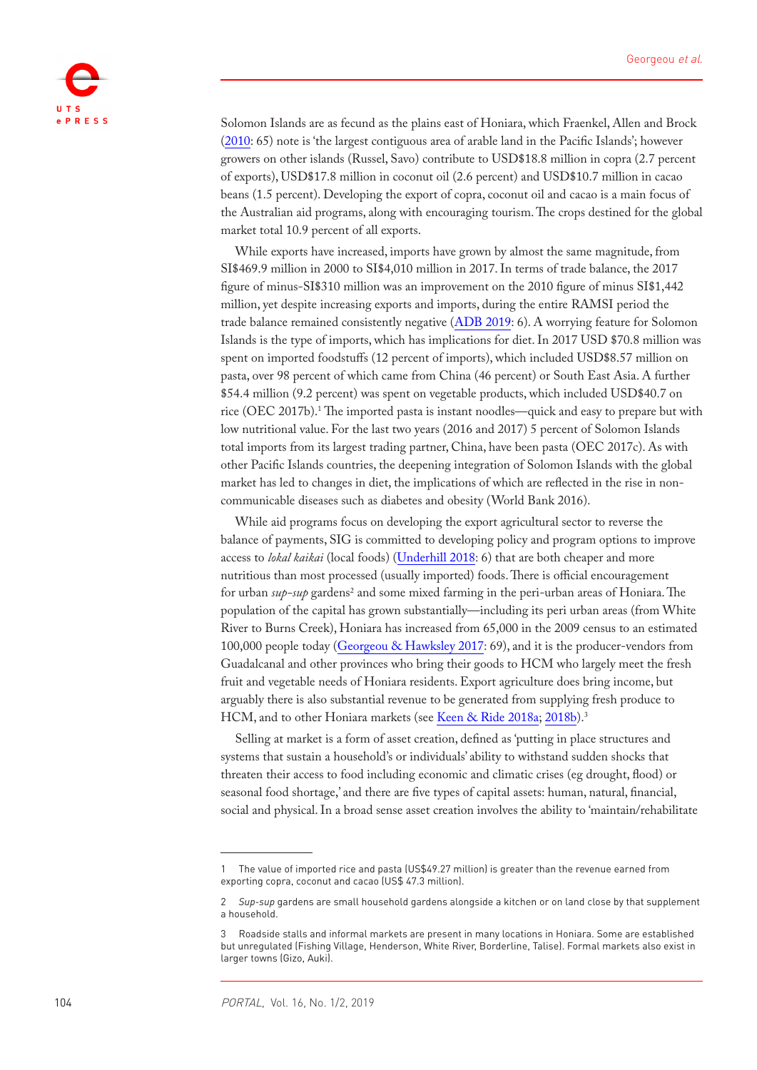

Solomon Islands are as fecund as the plains east of Honiara, which Fraenkel, Allen and Brock (2010: 65) note is 'the largest contiguous area of arable land in the Pacific Islands'; however growers on other islands (Russel, Savo) contribute to USD\$18.8 million in copra (2.7 percent of exports), USD\$17.8 million in coconut oil (2.6 percent) and USD\$10.7 million in cacao beans (1.5 percent). Developing the export of copra, coconut oil and cacao is a main focus of the Australian aid programs, along with encouraging tourism. The crops destined for the global market total 10.9 percent of all exports.

While exports have increased, imports have grown by almost the same magnitude, from SI\$469.9 million in 2000 to SI\$4,010 million in 2017. In terms of trade balance, the 2017 figure of minus-SI\$310 million was an improvement on the 2010 figure of minus SI\$1,442 million, yet despite increasing exports and imports, during the entire RAMSI period the trade balance remained consistently negative (ADB 2019: 6). A worrying feature for Solomon Islands is the type of imports, which has implications for diet. In 2017 USD \$70.8 million was spent on imported foodstuffs (12 percent of imports), which included USD\$8.57 million on pasta, over 98 percent of which came from China (46 percent) or South East Asia. A further \$54.4 million (9.2 percent) was spent on vegetable products, which included USD\$40.7 on rice (OEC 2017b).<sup>1</sup> The imported pasta is instant noodles—quick and easy to prepare but with low nutritional value. For the last two years (2016 and 2017) 5 percent of Solomon Islands total imports from its largest trading partner, China, have been pasta (OEC 2017c). As with other Pacific Islands countries, the deepening integration of Solomon Islands with the global market has led to changes in diet, the implications of which are reflected in the rise in noncommunicable diseases such as diabetes and obesity (World Bank 2016).

While aid programs focus on developing the export agricultural sector to reverse the balance of payments, SIG is committed to developing policy and program options to improve access to *lokal kaikai* (local foods) [\(Underhill 2018:](#page-17-3) 6) that are both cheaper and more nutritious than most processed (usually imported) foods. There is official encouragement for urban *sup-sup* gardens<sup>2</sup> and some mixed farming in the peri-urban areas of Honiara. The population of the capital has grown substantially—including its peri urban areas (from White River to Burns Creek), Honiara has increased from 65,000 in the 2009 census to an estimated 100,000 people today (Georgeou & Hawksley 2017: 69), and it is the producer-vendors from Guadalcanal and other provinces who bring their goods to HCM who largely meet the fresh fruit and vegetable needs of Honiara residents. Export agriculture does bring income, but arguably there is also substantial revenue to be generated from supplying fresh produce to HCM, and to other Honiara markets (see Keen & Ride 2018a; 2018b).<sup>3</sup>

Selling at market is a form of asset creation, defined as 'putting in place structures and systems that sustain a household's or individuals' ability to withstand sudden shocks that threaten their access to food including economic and climatic crises (eg drought, flood) or seasonal food shortage,' and there are five types of capital assets: human, natural, financial, social and physical. In a broad sense asset creation involves the ability to 'maintain/rehabilitate

<sup>1</sup> The value of imported rice and pasta (US\$49.27 million) is greater than the revenue earned from exporting copra, coconut and cacao (US\$ 47.3 million).

<sup>2</sup> *Sup-sup* gardens are small household gardens alongside a kitchen or on land close by that supplement a household.

<sup>3</sup> Roadside stalls and informal markets are present in many locations in Honiara. Some are established but unregulated (Fishing Village, Henderson, White River, Borderline, Talise). Formal markets also exist in larger towns (Gizo, Auki).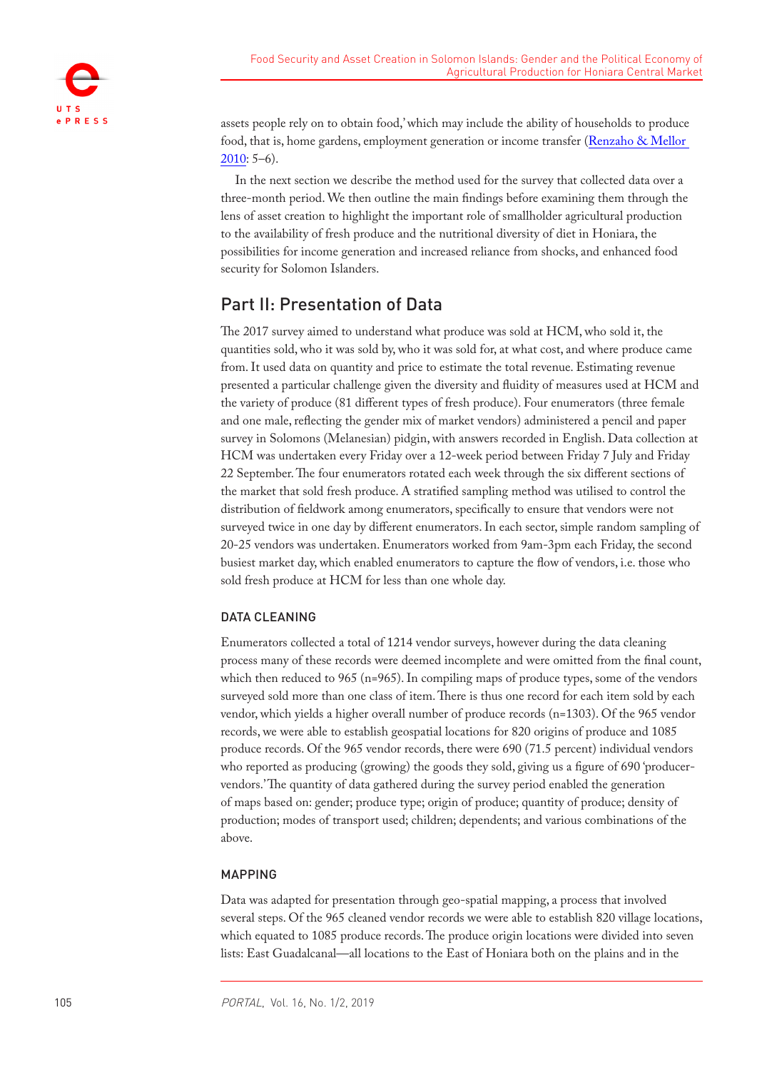

assets people rely on to obtain food,' which may include the ability of households to produce food, that is, home gardens, employment generation or income transfer (Renzaho & Mellor 2010: 5–6).

In the next section we describe the method used for the survey that collected data over a three-month period. We then outline the main findings before examining them through the lens of asset creation to highlight the important role of smallholder agricultural production to the availability of fresh produce and the nutritional diversity of diet in Honiara, the possibilities for income generation and increased reliance from shocks, and enhanced food security for Solomon Islanders.

# Part II: Presentation of Data

The 2017 survey aimed to understand what produce was sold at HCM, who sold it, the quantities sold, who it was sold by, who it was sold for, at what cost, and where produce came from. It used data on quantity and price to estimate the total revenue. Estimating revenue presented a particular challenge given the diversity and fluidity of measures used at HCM and the variety of produce (81 different types of fresh produce). Four enumerators (three female and one male, reflecting the gender mix of market vendors) administered a pencil and paper survey in Solomons (Melanesian) pidgin, with answers recorded in English. Data collection at HCM was undertaken every Friday over a 12-week period between Friday 7 July and Friday 22 September. The four enumerators rotated each week through the six different sections of the market that sold fresh produce. A stratified sampling method was utilised to control the distribution of fieldwork among enumerators, specifically to ensure that vendors were not surveyed twice in one day by different enumerators. In each sector, simple random sampling of 20-25 vendors was undertaken. Enumerators worked from 9am-3pm each Friday, the second busiest market day, which enabled enumerators to capture the flow of vendors, i.e. those who sold fresh produce at HCM for less than one whole day.

### DATA CLEANING

Enumerators collected a total of 1214 vendor surveys, however during the data cleaning process many of these records were deemed incomplete and were omitted from the final count, which then reduced to 965 (n=965). In compiling maps of produce types, some of the vendors surveyed sold more than one class of item. There is thus one record for each item sold by each vendor, which yields a higher overall number of produce records (n=1303). Of the 965 vendor records, we were able to establish geospatial locations for 820 origins of produce and 1085 produce records. Of the 965 vendor records, there were 690 (71.5 percent) individual vendors who reported as producing (growing) the goods they sold, giving us a figure of 690 'producervendors.' The quantity of data gathered during the survey period enabled the generation of maps based on: gender; produce type; origin of produce; quantity of produce; density of production; modes of transport used; children; dependents; and various combinations of the above.

#### MAPPING

Data was adapted for presentation through geo-spatial mapping, a process that involved several steps. Of the 965 cleaned vendor records we were able to establish 820 village locations, which equated to 1085 produce records. The produce origin locations were divided into seven lists: East Guadalcanal—all locations to the East of Honiara both on the plains and in the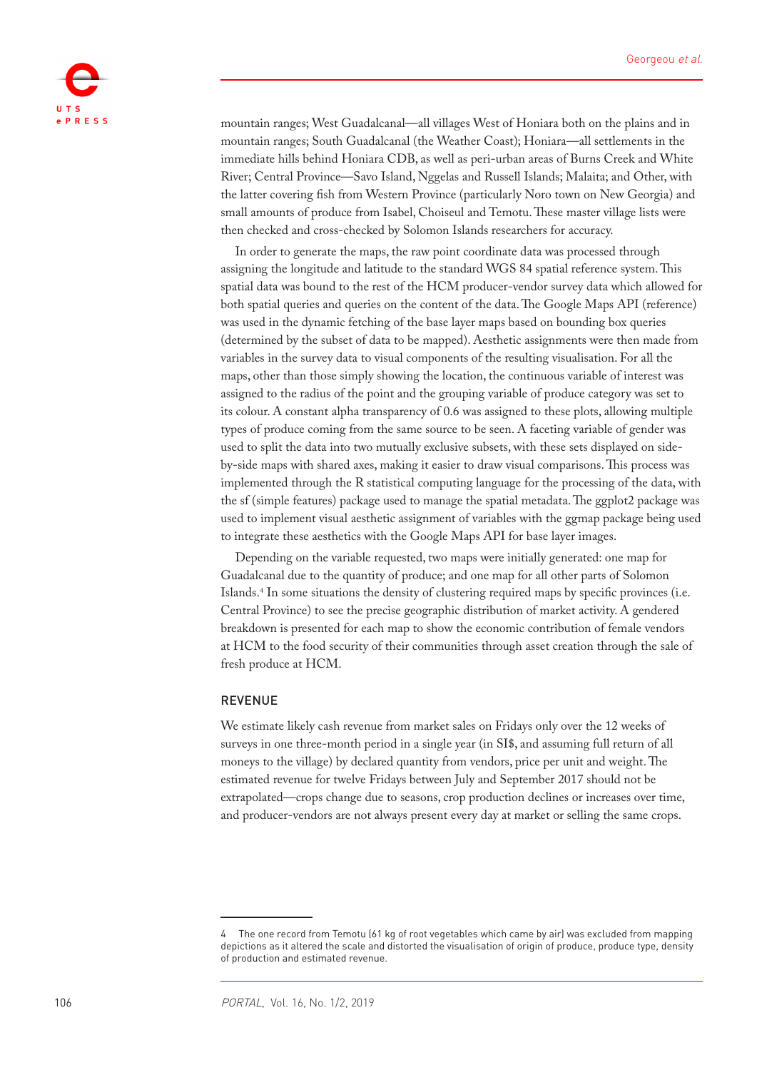

mountain ranges; West Guadalcanal—all villages West of Honiara both on the plains and in mountain ranges; South Guadalcanal (the Weather Coast); Honiara—all settlements in the immediate hills behind Honiara CDB, as well as peri-urban areas of Burns Creek and White River; Central Province—Savo Island, Nggelas and Russell Islands; Malaita; and Other, with the latter covering fish from Western Province (particularly Noro town on New Georgia) and small amounts of produce from Isabel, Choiseul and Temotu. These master village lists were then checked and cross-checked by Solomon Islands researchers for accuracy.

In order to generate the maps, the raw point coordinate data was processed through assigning the longitude and latitude to the standard WGS 84 spatial reference system. This spatial data was bound to the rest of the HCM producer-vendor survey data which allowed for both spatial queries and queries on the content of the data. The Google Maps API (reference) was used in the dynamic fetching of the base layer maps based on bounding box queries (determined by the subset of data to be mapped). Aesthetic assignments were then made from variables in the survey data to visual components of the resulting visualisation. For all the maps, other than those simply showing the location, the continuous variable of interest was assigned to the radius of the point and the grouping variable of produce category was set to its colour. A constant alpha transparency of 0.6 was assigned to these plots, allowing multiple types of produce coming from the same source to be seen. A faceting variable of gender was used to split the data into two mutually exclusive subsets, with these sets displayed on sideby-side maps with shared axes, making it easier to draw visual comparisons. This process was implemented through the R statistical computing language for the processing of the data, with the sf (simple features) package used to manage the spatial metadata. The ggplot2 package was used to implement visual aesthetic assignment of variables with the ggmap package being used to integrate these aesthetics with the Google Maps API for base layer images.

Depending on the variable requested, two maps were initially generated: one map for Guadalcanal due to the quantity of produce; and one map for all other parts of Solomon Islands.4 In some situations the density of clustering required maps by specific provinces (i.e. Central Province) to see the precise geographic distribution of market activity. A gendered breakdown is presented for each map to show the economic contribution of female vendors at HCM to the food security of their communities through asset creation through the sale of fresh produce at HCM.

#### REVENUE

We estimate likely cash revenue from market sales on Fridays only over the 12 weeks of surveys in one three-month period in a single year (in SI\$, and assuming full return of all moneys to the village) by declared quantity from vendors, price per unit and weight. The estimated revenue for twelve Fridays between July and September 2017 should not be extrapolated—crops change due to seasons, crop production declines or increases over time, and producer-vendors are not always present every day at market or selling the same crops.

<sup>4</sup> The one record from Temotu (61 kg of root vegetables which came by air) was excluded from mapping depictions as it altered the scale and distorted the visualisation of origin of produce, produce type, density of production and estimated revenue.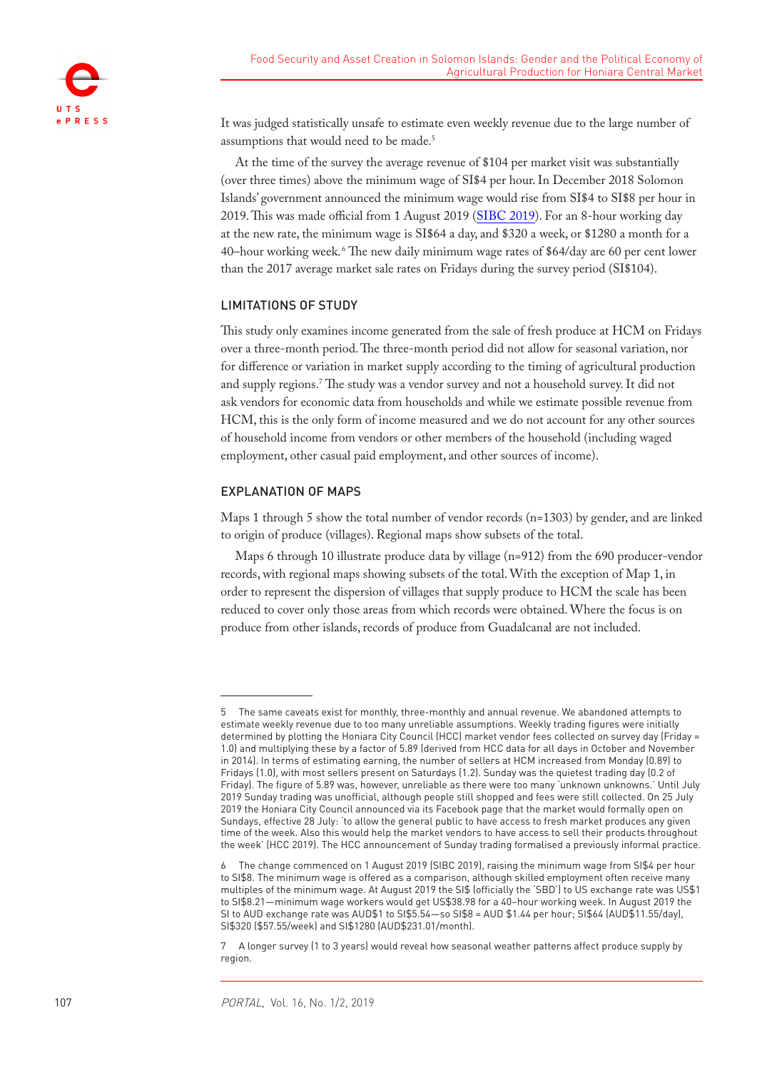

It was judged statistically unsafe to estimate even weekly revenue due to the large number of assumptions that would need to be made.5

At the time of the survey the average revenue of \$104 per market visit was substantially (over three times) above the minimum wage of SI\$4 per hour. In December 2018 Solomon Islands' government announced the minimum wage would rise from SI\$4 to SI\$8 per hour in 2019. This was made official from 1 August 2019 (SIBC 2019). For an 8-hour working day at the new rate, the minimum wage is SI\$64 a day, and \$320 a week, or \$1280 a month for a 40–hour working week. <sup>6</sup> The new daily minimum wage rates of \$64/day are 60 per cent lower than the 2017 average market sale rates on Fridays during the survey period (SI\$104).

#### LIMITATIONS OF STUDY

This study only examines income generated from the sale of fresh produce at HCM on Fridays over a three-month period. The three-month period did not allow for seasonal variation, nor for difference or variation in market supply according to the timing of agricultural production and supply regions.7 The study was a vendor survey and not a household survey. It did not ask vendors for economic data from households and while we estimate possible revenue from HCM, this is the only form of income measured and we do not account for any other sources of household income from vendors or other members of the household (including waged employment, other casual paid employment, and other sources of income).

#### EXPLANATION OF MAPS

Maps 1 through 5 show the total number of vendor records (n=1303) by gender, and are linked to origin of produce (villages). Regional maps show subsets of the total.

Maps 6 through 10 illustrate produce data by village (n=912) from the 690 producer-vendor records, with regional maps showing subsets of the total. With the exception of Map 1, in order to represent the dispersion of villages that supply produce to HCM the scale has been reduced to cover only those areas from which records were obtained. Where the focus is on produce from other islands, records of produce from Guadalcanal are not included.

<sup>5</sup> The same caveats exist for monthly, three-monthly and annual revenue. We abandoned attempts to estimate weekly revenue due to too many unreliable assumptions. Weekly trading figures were initially determined by plotting the Honiara City Council (HCC) market vendor fees collected on survey day (Friday = 1.0) and multiplying these by a factor of 5.89 (derived from HCC data for all days in October and November in 2014). In terms of estimating earning, the number of sellers at HCM increased from Monday (0.89) to Fridays (1.0), with most sellers present on Saturdays (1.2). Sunday was the quietest trading day (0.2 of Friday). The figure of 5.89 was, however, unreliable as there were too many 'unknown unknowns.' Until July 2019 Sunday trading was unofficial, although people still shopped and fees were still collected. On 25 July 2019 the Honiara City Council announced via its Facebook page that the market would formally open on Sundays, effective 28 July: 'to allow the general public to have access to fresh market produces any given time of the week. Also this would help the market vendors to have access to sell their products throughout the week' (HCC 2019). The HCC announcement of Sunday trading formalised a previously informal practice.

<sup>6</sup> The change commenced on 1 August 2019 (SIBC 2019), raising the minimum wage from SI\$4 per hour to SI\$8. The minimum wage is offered as a comparison, although skilled employment often receive many multiples of the minimum wage. At August 2019 the SI\$ (officially the 'SBD') to US exchange rate was US\$1 to SI\$8.21—minimum wage workers would get US\$38.98 for a 40–hour working week. In August 2019 the SI to AUD exchange rate was AUD\$1 to SI\$5.54-so SI\$8 = AUD \$1.44 per hour; SI\$64 (AUD\$11.55/day), SI\$320 (\$57.55/week) and SI\$1280 (AUD\$231.01/month).

<sup>7</sup> A longer survey (1 to 3 years) would reveal how seasonal weather patterns affect produce supply by region.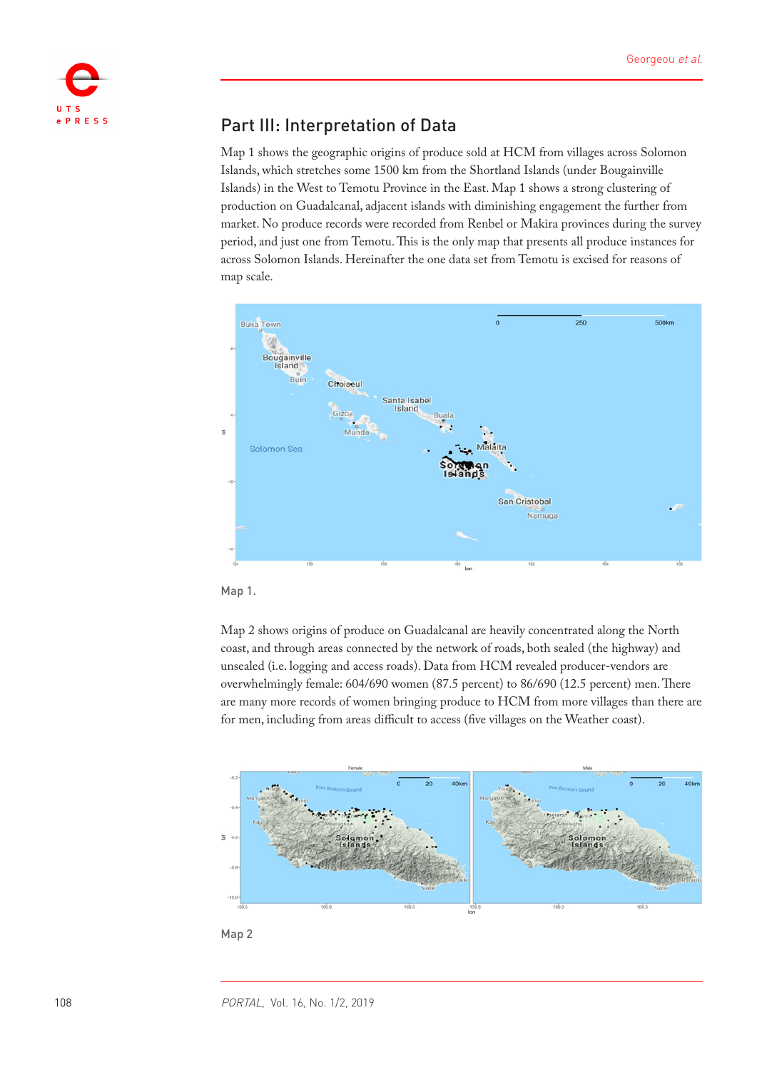

# Part III: Interpretation of Data

Map 1 shows the geographic origins of produce sold at HCM from villages across Solomon Islands, which stretches some 1500 km from the Shortland Islands (under Bougainville Islands) in the West to Temotu Province in the East. Map 1 shows a strong clustering of production on Guadalcanal, adjacent islands with diminishing engagement the further from market. No produce records were recorded from Renbel or Makira provinces during the survey period, and just one from Temotu. This is the only map that presents all produce instances for across Solomon Islands. Hereinafter the one data set from Temotu is excised for reasons of map scale.



Map 1.

Map 2 shows origins of produce on Guadalcanal are heavily concentrated along the North coast, and through areas connected by the network of roads, both sealed (the highway) and unsealed (i.e. logging and access roads). Data from HCM revealed producer-vendors are overwhelmingly female: 604/690 women (87.5 percent) to 86/690 (12.5 percent) men. There are many more records of women bringing produce to HCM from more villages than there are for men, including from areas difficult to access (five villages on the Weather coast).



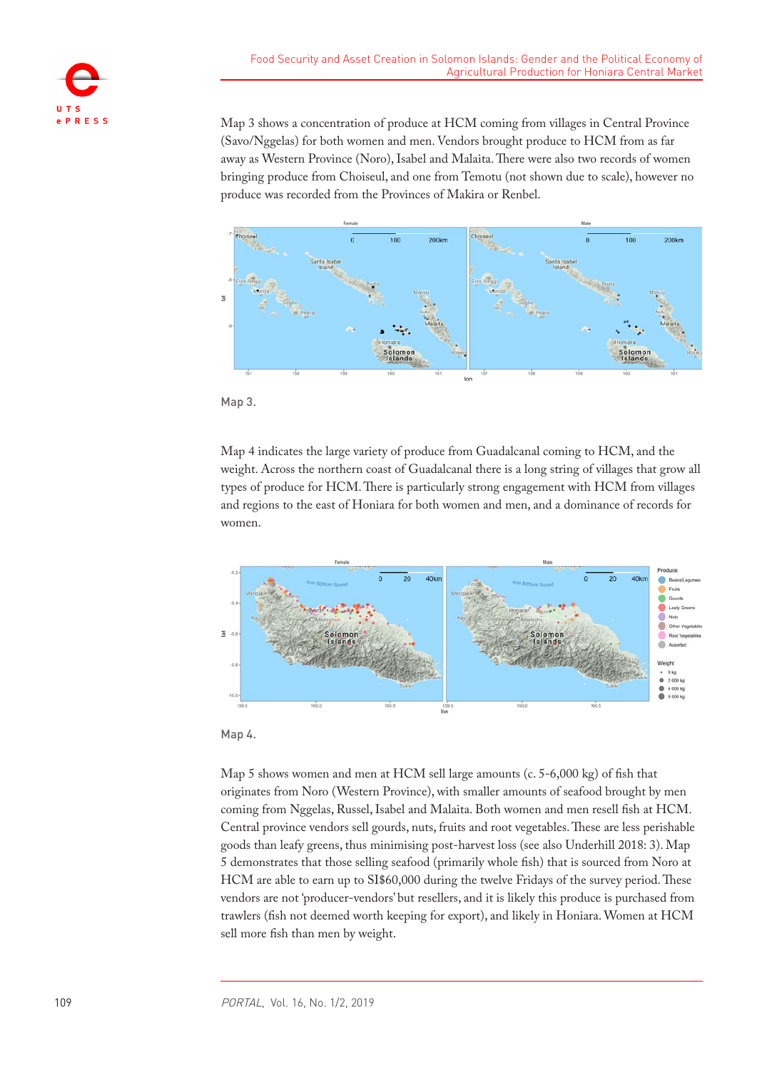

Map 3 shows a concentration of produce at HCM coming from villages in Central Province (Savo/Nggelas) for both women and men. Vendors brought produce to HCM from as far away as Western Province (Noro), Isabel and Malaita. There were also two records of women bringing produce from Choiseul, and one from Temotu (not shown due to scale), however no produce was recorded from the Provinces of Makira or Renbel.



Map 3.

Map 4 indicates the large variety of produce from Guadalcanal coming to HCM, and the weight. Across the northern coast of Guadalcanal there is a long string of villages that grow all types of produce for HCM. There is particularly strong engagement with HCM from villages and regions to the east of Honiara for both women and men, and a dominance of records for women.





Map 5 shows women and men at HCM sell large amounts (c. 5-6,000 kg) of fish that originates from Noro (Western Province), with smaller amounts of seafood brought by men coming from Nggelas, Russel, Isabel and Malaita. Both women and men resell fish at HCM. Central province vendors sell gourds, nuts, fruits and root vegetables. These are less perishable goods than leafy greens, thus minimising post-harvest loss (see also Underhill 2018: 3). Map 5 demonstrates that those selling seafood (primarily whole fish) that is sourced from Noro at HCM are able to earn up to SI\$60,000 during the twelve Fridays of the survey period. These vendors are not 'producer-vendors' but resellers, and it is likely this produce is purchased from trawlers (fish not deemed worth keeping for export), and likely in Honiara. Women at HCM sell more fish than men by weight.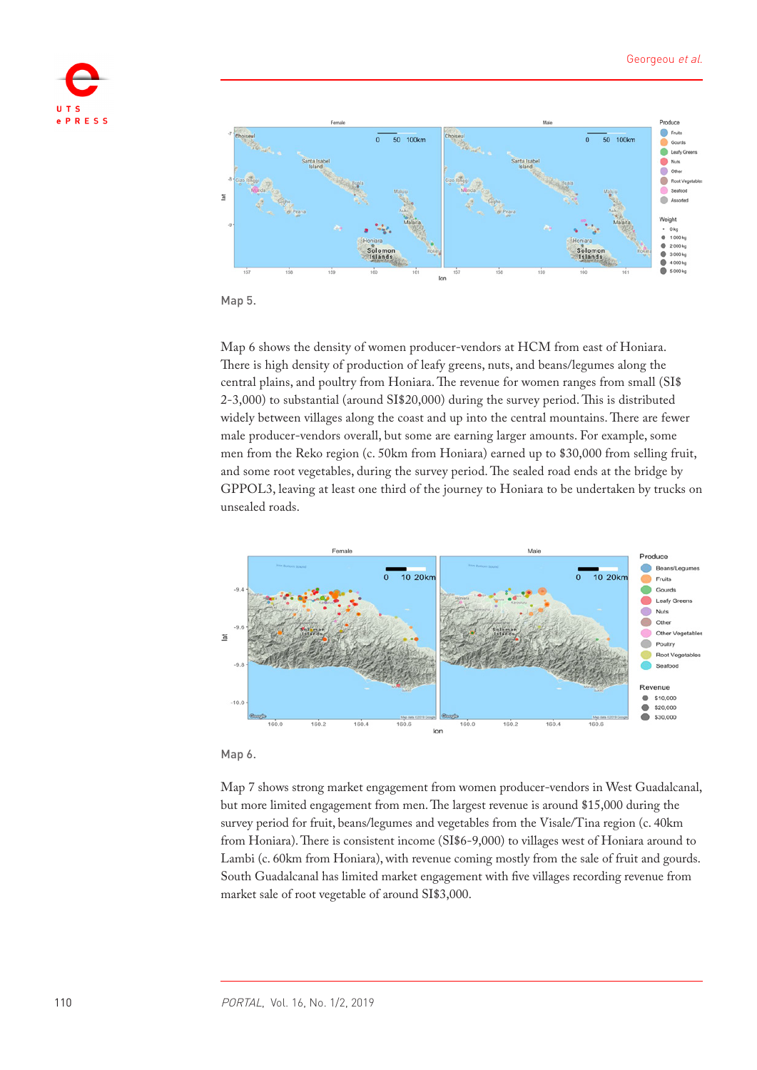



Map 5.

Map 6 shows the density of women producer-vendors at HCM from east of Honiara. There is high density of production of leafy greens, nuts, and beans/legumes along the central plains, and poultry from Honiara. The revenue for women ranges from small (SI\$ 2-3,000) to substantial (around SI\$20,000) during the survey period. This is distributed widely between villages along the coast and up into the central mountains. There are fewer male producer-vendors overall, but some are earning larger amounts. For example, some men from the Reko region (c. 50km from Honiara) earned up to \$30,000 from selling fruit, and some root vegetables, during the survey period. The sealed road ends at the bridge by GPPOL3, leaving at least one third of the journey to Honiara to be undertaken by trucks on unsealed roads.





Map 7 shows strong market engagement from women producer-vendors in West Guadalcanal, but more limited engagement from men. The largest revenue is around \$15,000 during the survey period for fruit, beans/legumes and vegetables from the Visale/Tina region (c. 40km from Honiara). There is consistent income (SI\$6-9,000) to villages west of Honiara around to Lambi (c. 60km from Honiara), with revenue coming mostly from the sale of fruit and gourds. South Guadalcanal has limited market engagement with five villages recording revenue from market sale of root vegetable of around SI\$3,000.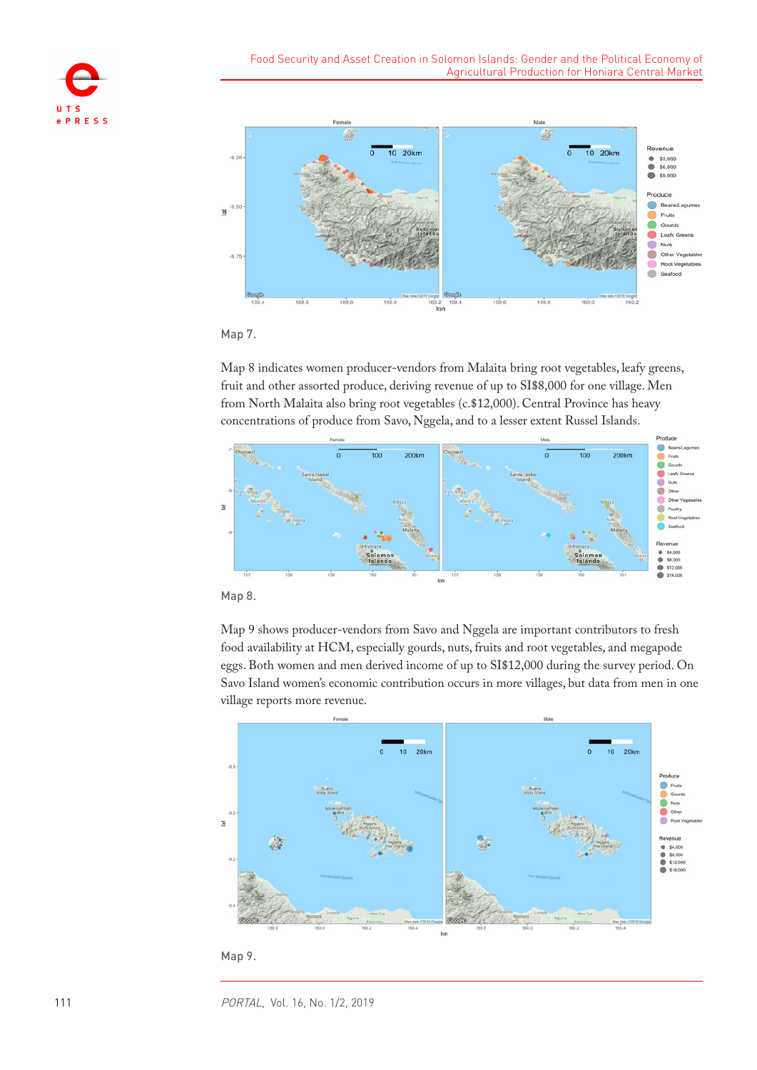





Map 8 indicates women producer-vendors from Malaita bring root vegetables, leafy greens, fruit and other assorted produce, deriving revenue of up to SI\$8,000 for one village. Men from North Malaita also bring root vegetables (c.\$12,000). Central Province has heavy concentrations of produce from Savo, Nggela, and to a lesser extent Russel Islands.



Map 8.

Map 9 shows producer-vendors from Savo and Nggela are important contributors to fresh food availability at HCM, especially gourds, nuts, fruits and root vegetables, and megapode eggs. Both women and men derived income of up to SI\$12,000 during the survey period. On Savo Island women's economic contribution occurs in more villages, but data from men in one village reports more revenue.



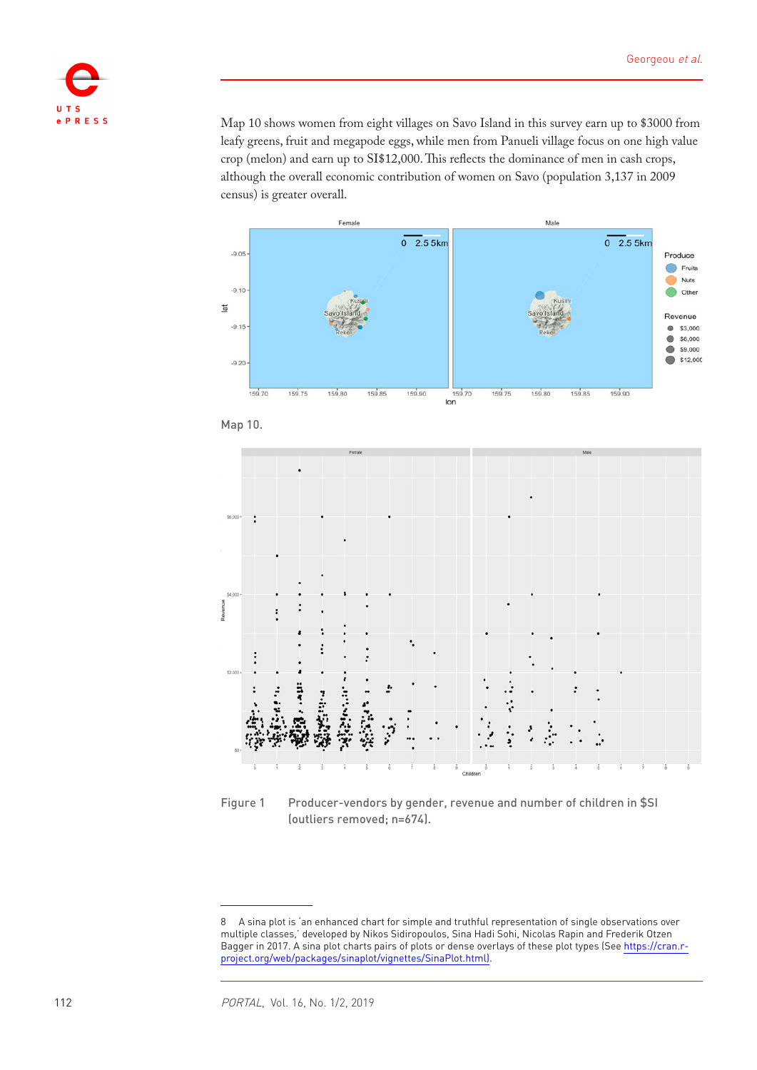

Map 10 shows women from eight villages on Savo Island in this survey earn up to \$3000 from leafy greens, fruit and megapode eggs, while men from Panueli village focus on one high value crop (melon) and earn up to SI\$12,000. This reflects the dominance of men in cash crops, although the overall economic contribution of women on Savo (population 3,137 in 2009 census) is greater overall.







<span id="page-11-0"></span>Figure 1 Producer-vendors by gender, revenue and number of children in \$SI (outliers removed; n=674).

<sup>8</sup> A sina plot is 'an enhanced chart for simple and truthful representation of single observations over multiple classes,' developed by Nikos Sidiropoulos, Sina Hadi Sohi, Nicolas Rapin and Frederik Otzen Bagger in 2017. A sina plot charts pairs of plots or dense overlays of these plot types (See [https://cran.r](https://cran.r-project.org/web/packages/sinaplot/vignettes/SinaPlot.html)[project.org/web/packages/sinaplot/vignettes/SinaPlot.html\)](https://cran.r-project.org/web/packages/sinaplot/vignettes/SinaPlot.html).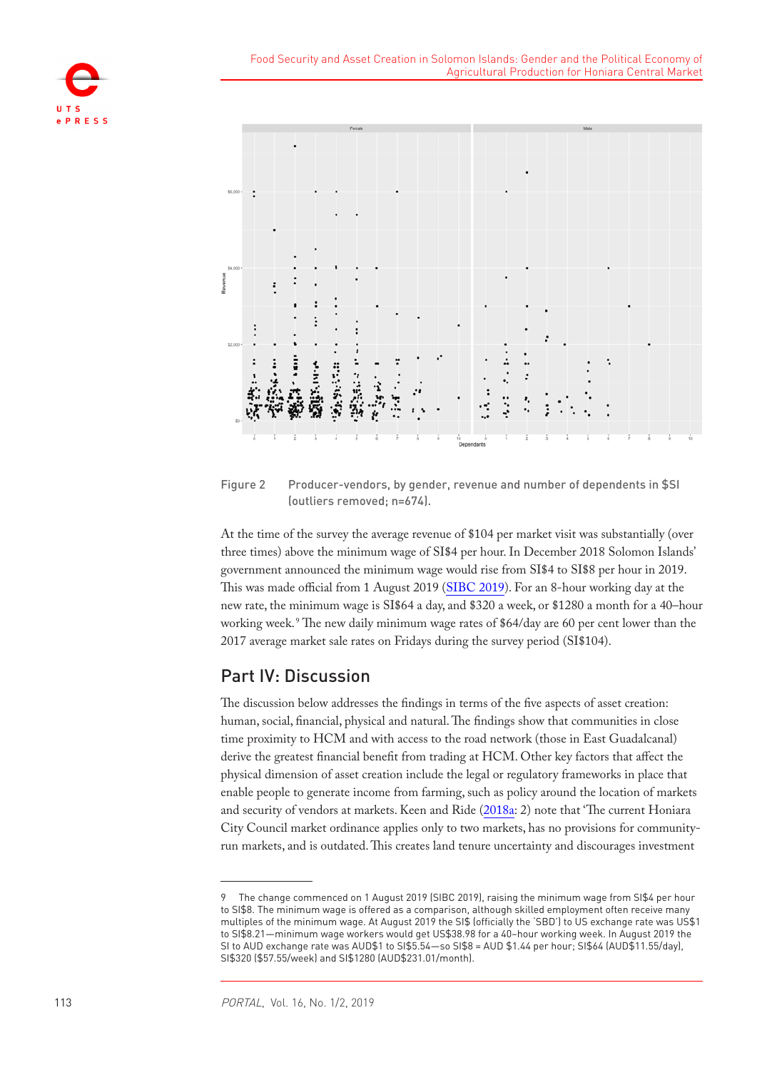



<span id="page-12-0"></span>Figure 2 Producer-vendors, by gender, revenue and number of dependents in \$SI (outliers removed; n=674).

At the time of the survey the average revenue of \$104 per market visit was substantially (over three times) above the minimum wage of SI\$4 per hour. In December 2018 Solomon Islands' government announced the minimum wage would rise from SI\$4 to SI\$8 per hour in 2019. This was made official from 1 August 2019 (SIBC 2019). For an 8-hour working day at the new rate, the minimum wage is SI\$64 a day, and \$320 a week, or \$1280 a month for a 40–hour working week. <sup>9</sup> The new daily minimum wage rates of \$64/day are 60 per cent lower than the 2017 average market sale rates on Fridays during the survey period (SI\$104).

## Part IV: Discussion

The discussion below addresses the findings in terms of the five aspects of asset creation: human, social, financial, physical and natural. The findings show that communities in close time proximity to HCM and with access to the road network (those in East Guadalcanal) derive the greatest financial benefit from trading at HCM. Other key factors that affect the physical dimension of asset creation include the legal or regulatory frameworks in place that enable people to generate income from farming, such as policy around the location of markets and security of vendors at markets. Keen and Ride (2018a: 2) note that 'The current Honiara City Council market ordinance applies only to two markets, has no provisions for communityrun markets, and is outdated. This creates land tenure uncertainty and discourages investment

<sup>9</sup> The change commenced on 1 August 2019 (SIBC 2019), raising the minimum wage from SI\$4 per hour to SI\$8. The minimum wage is offered as a comparison, although skilled employment often receive many multiples of the minimum wage. At August 2019 the SI\$ (officially the 'SBD') to US exchange rate was US\$1 to SI\$8.21—minimum wage workers would get US\$38.98 for a 40–hour working week. In August 2019 the SI to AUD exchange rate was AUD\$1 to SI\$5.54—so SI\$8 = AUD \$1.44 per hour; SI\$64 (AUD\$11.55/day), SI\$320 (\$57.55/week) and SI\$1280 (AUD\$231.01/month).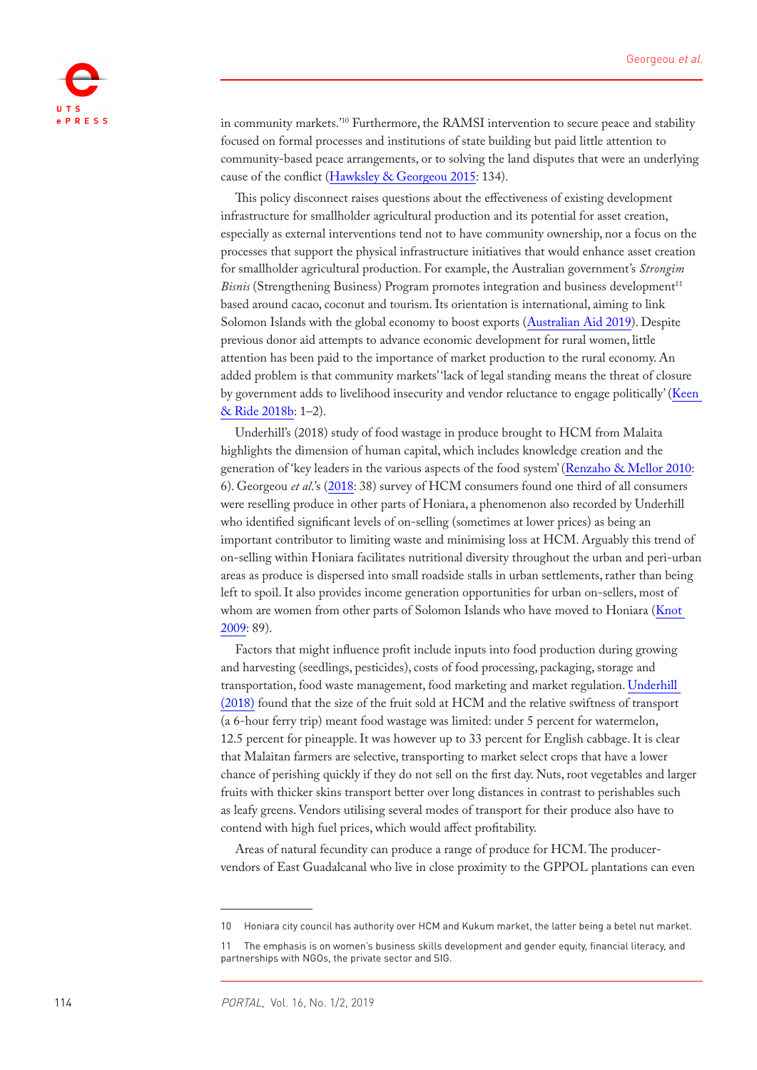

in community markets.'10 Furthermore, the RAMSI intervention to secure peace and stability focused on formal processes and institutions of state building but paid little attention to community-based peace arrangements, or to solving the land disputes that were an underlying cause of the conflict (Hawksley & Georgeou 2015: 134).

This policy disconnect raises questions about the effectiveness of existing development infrastructure for smallholder agricultural production and its potential for asset creation, especially as external interventions tend not to have community ownership, nor a focus on the processes that support the physical infrastructure initiatives that would enhance asset creation for smallholder agricultural production. For example, the Australian government's *Strongim Bisnis* (Strengthening Business) Program promotes integration and business development<sup>11</sup> based around cacao, coconut and tourism. Its orientation is international, aiming to link Solomon Islands with the global economy to boost exports (Australian Aid 2019). Despite previous donor aid attempts to advance economic development for rural women, little attention has been paid to the importance of market production to the rural economy. An added problem is that community markets' 'lack of legal standing means the threat of closure by government adds to livelihood insecurity and vendor reluctance to engage politically' (Keen & Ride 2018b: 1–2).

Underhill's (2018) study of food wastage in produce brought to HCM from Malaita highlights the dimension of human capital, which includes knowledge creation and the generation of 'key leaders in the various aspects of the food system' (Renzaho & Mellor 2010: 6). Georgeou *et al*.'s (2018: 38) survey of HCM consumers found one third of all consumers were reselling produce in other parts of Honiara, a phenomenon also recorded by Underhill who identified significant levels of on-selling (sometimes at lower prices) as being an important contributor to limiting waste and minimising loss at HCM. Arguably this trend of on-selling within Honiara facilitates nutritional diversity throughout the urban and peri-urban areas as produce is dispersed into small roadside stalls in urban settlements, rather than being left to spoil. It also provides income generation opportunities for urban on-sellers, most of whom are women from other parts of Solomon Islands who have moved to Honiara ([Knot](#page-16-1)  [2009:](#page-16-1) 89).

Factors that might influence profit include inputs into food production during growing and harvesting (seedlings, pesticides), costs of food processing, packaging, storage and transportation, food waste management, food marketing and market regulation. [Underhill](#page-17-3)  [\(2018\)](#page-17-3) found that the size of the fruit sold at HCM and the relative swiftness of transport (a 6-hour ferry trip) meant food wastage was limited: under 5 percent for watermelon, 12.5 percent for pineapple. It was however up to 33 percent for English cabbage. It is clear that Malaitan farmers are selective, transporting to market select crops that have a lower chance of perishing quickly if they do not sell on the first day. Nuts, root vegetables and larger fruits with thicker skins transport better over long distances in contrast to perishables such as leafy greens. Vendors utilising several modes of transport for their produce also have to contend with high fuel prices, which would affect profitability.

Areas of natural fecundity can produce a range of produce for HCM. The producervendors of East Guadalcanal who live in close proximity to the GPPOL plantations can even

<sup>10</sup> Honiara city council has authority over HCM and Kukum market, the latter being a betel nut market.

<sup>11</sup> The emphasis is on women's business skills development and gender equity, financial literacy, and partnerships with NGOs, the private sector and SIG.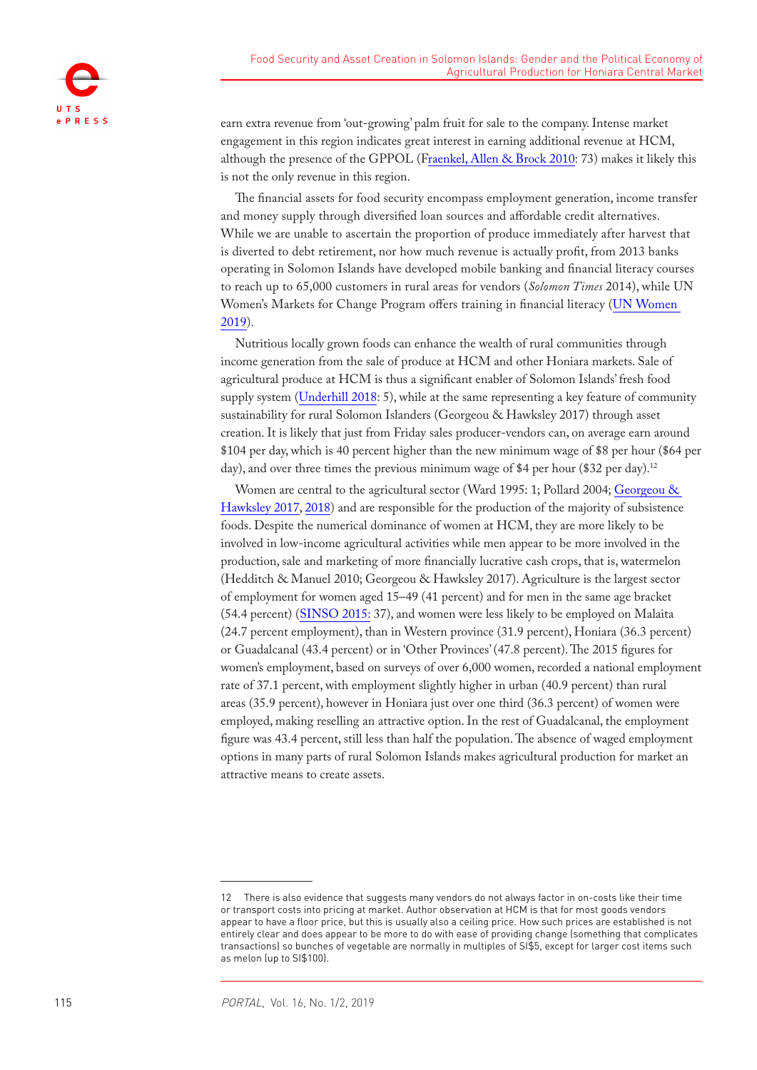

earn extra revenue from 'out-growing' palm fruit for sale to the company. Intense market engagement in this region indicates great interest in earning additional revenue at HCM, although the presence of the GPPOL (Fraenkel, Allen & Brock 2010: 73) makes it likely this is not the only revenue in this region.

The financial assets for food security encompass employment generation, income transfer and money supply through diversified loan sources and affordable credit alternatives. While we are unable to ascertain the proportion of produce immediately after harvest that is diverted to debt retirement, nor how much revenue is actually profit, from 2013 banks operating in Solomon Islands have developed mobile banking and financial literacy courses to reach up to 65,000 customers in rural areas for vendors (*Solomon Times* 2014), while UN Women's Markets for Change Program offers training in financial literacy (UN Women 2019).

Nutritious locally grown foods can enhance the wealth of rural communities through income generation from the sale of produce at HCM and other Honiara markets. Sale of agricultural produce at HCM is thus a significant enabler of Solomon Islands' fresh food supply system [\(Underhill 2018:](#page-17-3) 5), while at the same representing a key feature of community sustainability for rural Solomon Islanders (Georgeou & Hawksley 2017) through asset creation. It is likely that just from Friday sales producer-vendors can, on average earn around \$104 per day, which is 40 percent higher than the new minimum wage of \$8 per hour (\$64 per day), and over three times the previous minimum wage of \$4 per hour (\$32 per day).<sup>12</sup>

Women are central to the agricultural sector (Ward 1995: 1; Pollard 2004; Georgeou & Hawksley 2017, 2018) and are responsible for the production of the majority of subsistence foods. Despite the numerical dominance of women at HCM, they are more likely to be involved in low-income agricultural activities while men appear to be more involved in the production, sale and marketing of more financially lucrative cash crops, that is, watermelon (Hedditch & Manuel 2010; Georgeou & Hawksley 2017). Agriculture is the largest sector of employment for women aged 15–49 (41 percent) and for men in the same age bracket (54.4 percent) (SINSO 2015: 37), and women were less likely to be employed on Malaita (24.7 percent employment), than in Western province (31.9 percent), Honiara (36.3 percent) or Guadalcanal (43.4 percent) or in 'Other Provinces' (47.8 percent). The 2015 figures for women's employment, based on surveys of over 6,000 women, recorded a national employment rate of 37.1 percent, with employment slightly higher in urban (40.9 percent) than rural areas (35.9 percent), however in Honiara just over one third (36.3 percent) of women were employed, making reselling an attractive option. In the rest of Guadalcanal, the employment figure was 43.4 percent, still less than half the population. The absence of waged employment options in many parts of rural Solomon Islands makes agricultural production for market an attractive means to create assets.

<sup>12</sup> There is also evidence that suggests many vendors do not always factor in on-costs like their time or transport costs into pricing at market. Author observation at HCM is that for most goods vendors appear to have a floor price, but this is usually also a ceiling price. How such prices are established is not entirely clear and does appear to be more to do with ease of providing change (something that complicates transactions) so bunches of vegetable are normally in multiples of SI\$5, except for larger cost items such as melon (up to SI\$100).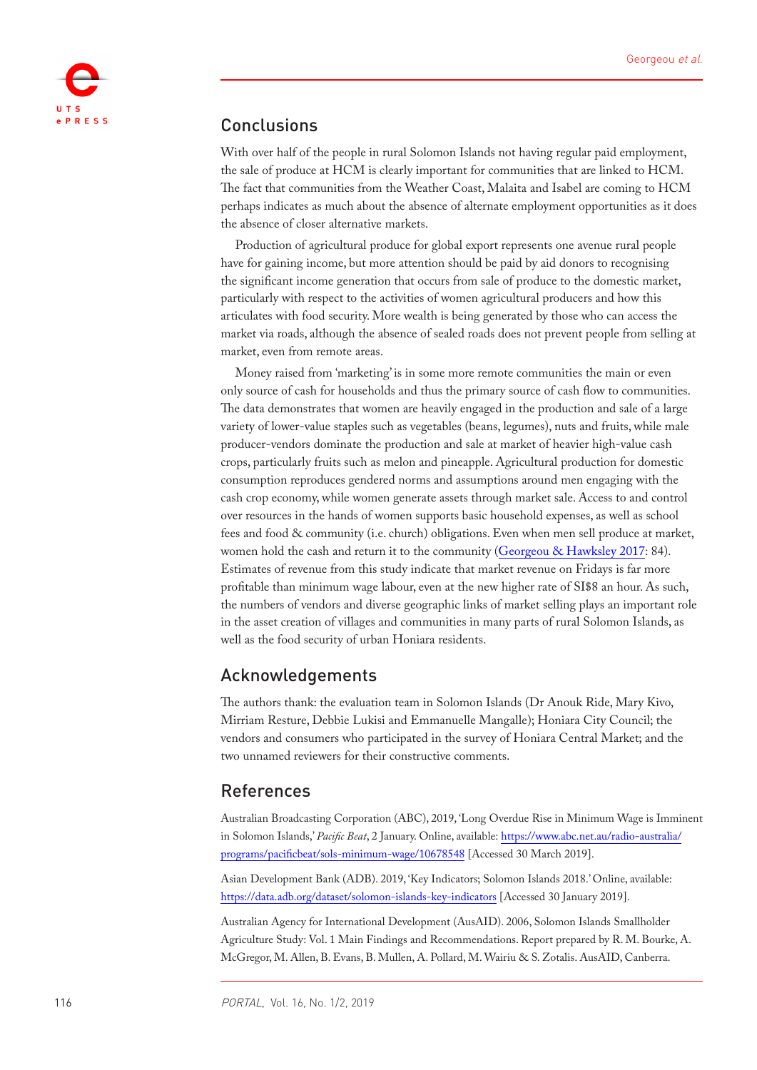

## Conclusions

With over half of the people in rural Solomon Islands not having regular paid employment, the sale of produce at HCM is clearly important for communities that are linked to HCM. The fact that communities from the Weather Coast, Malaita and Isabel are coming to HCM perhaps indicates as much about the absence of alternate employment opportunities as it does the absence of closer alternative markets.

Production of agricultural produce for global export represents one avenue rural people have for gaining income, but more attention should be paid by aid donors to recognising the significant income generation that occurs from sale of produce to the domestic market, particularly with respect to the activities of women agricultural producers and how this articulates with food security. More wealth is being generated by those who can access the market via roads, although the absence of sealed roads does not prevent people from selling at market, even from remote areas.

Money raised from 'marketing' is in some more remote communities the main or even only source of cash for households and thus the primary source of cash flow to communities. The data demonstrates that women are heavily engaged in the production and sale of a large variety of lower-value staples such as vegetables (beans, legumes), nuts and fruits, while male producer-vendors dominate the production and sale at market of heavier high-value cash crops, particularly fruits such as melon and pineapple. Agricultural production for domestic consumption reproduces gendered norms and assumptions around men engaging with the cash crop economy, while women generate assets through market sale. Access to and control over resources in the hands of women supports basic household expenses, as well as school fees and food & community (i.e. church) obligations. Even when men sell produce at market, women hold the cash and return it to the community (Georgeou & Hawksley 2017: 84). Estimates of revenue from this study indicate that market revenue on Fridays is far more profitable than minimum wage labour, even at the new higher rate of SI\$8 an hour. As such, the numbers of vendors and diverse geographic links of market selling plays an important role in the asset creation of villages and communities in many parts of rural Solomon Islands, as well as the food security of urban Honiara residents.

## Acknowledgements

The authors thank: the evaluation team in Solomon Islands (Dr Anouk Ride, Mary Kivo, Mirriam Resture, Debbie Lukisi and Emmanuelle Mangalle); Honiara City Council; the vendors and consumers who participated in the survey of Honiara Central Market; and the two unnamed reviewers for their constructive comments.

## References

Australian Broadcasting Corporation (ABC), 2019, 'Long Overdue Rise in Minimum Wage is Imminent in Solomon Islands,' *Pacific Beat*, 2 January. Online, available: [https://www.abc.net.au/radio-australia/](https://www.abc.net.au/radio-australia/programs/pacificbeat/sols-minimum-wage/10678548) [programs/pacificbeat/sols-minimum-wage/10678548](https://www.abc.net.au/radio-australia/programs/pacificbeat/sols-minimum-wage/10678548) [Accessed 30 March 2019].

Asian Development Bank (ADB). 2019, 'Key Indicators; Solomon Islands 2018.' Online, available: <https://data.adb.org/dataset/solomon-islands-key-indicators>[Accessed 30 January 2019].

<span id="page-15-0"></span>Australian Agency for International Development (AusAID). 2006, Solomon Islands Smallholder Agriculture Study: Vol. 1 Main Findings and Recommendations. Report prepared by R. M. Bourke, A. McGregor, M. Allen, B. Evans, B. Mullen, A. Pollard, M. Wairiu & S. Zotalis. AusAID, Canberra.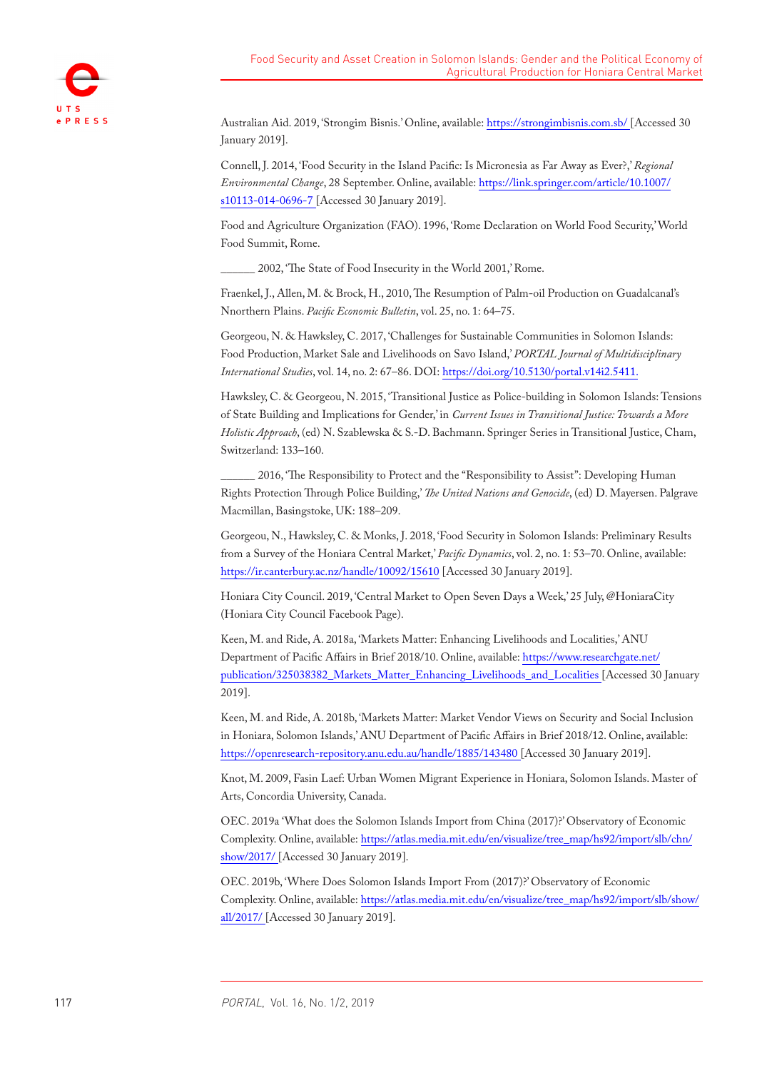Australian Aid. 2019, 'Strongim Bisnis.' Online, available: <https://strongimbisnis.com.sb/> [Accessed 30 January 2019].

Connell, J. 2014, 'Food Security in the Island Pacific: Is Micronesia as Far Away as Ever?,' *Regional Environmental Change*, 28 September. Online, available: [https://link.springer.com/article/10.1007/](https://link.springer.com/article/10.1007/s10113-014-0696-7) [s10113-014-0696-7](https://link.springer.com/article/10.1007/s10113-014-0696-7) [Accessed 30 January 2019].

Food and Agriculture Organization (FAO). 1996, 'Rome Declaration on World Food Security,' World Food Summit, Rome.

\_\_\_\_\_\_ 2002, 'The State of Food Insecurity in the World 2001,' Rome.

Fraenkel, J., Allen, M. & Brock, H., 2010, The Resumption of Palm-oil Production on Guadalcanal's Nnorthern Plains. *Pacific Economic Bulletin*, vol. 25, no. 1: 64–75.

Georgeou, N. & Hawksley, C. 2017, 'Challenges for Sustainable Communities in Solomon Islands: Food Production, Market Sale and Livelihoods on Savo Island,' *PORTAL Journal of Multidisciplinary International Studies*, vol. 14, no. 2: 67–86. DOI:<https://doi.org/10.5130/portal.v14i2.5411>.

Hawksley, C. & Georgeou, N. 2015, 'Transitional Justice as Police-building in Solomon Islands: Tensions of State Building and Implications for Gender,' in *Current Issues in Transitional Justice: Towards a More Holistic Approach*, (ed) N. Szablewska & S.-D. Bachmann. Springer Series in Transitional Justice, Cham, Switzerland: 133–160.

<span id="page-16-0"></span>2016, 'The Responsibility to Protect and the "Responsibility to Assist": Developing Human Rights Protection Through Police Building,' *The United Nations and Genocide*, (ed) D. Mayersen. Palgrave Macmillan, Basingstoke, UK: 188–209.

Georgeou, N., Hawksley, C. & Monks, J. 2018, 'Food Security in Solomon Islands: Preliminary Results from a Survey of the Honiara Central Market,' *Pacific Dynamics*, vol. 2, no. 1: 53–70. Online, available: <https://ir.canterbury.ac.nz/handle/10092/15610>[Accessed 30 January 2019].

Honiara City Council. 2019, 'Central Market to Open Seven Days a Week,' 25 July, @HoniaraCity (Honiara City Council Facebook Page).

Keen, M. and Ride, A. 2018a, 'Markets Matter: Enhancing Livelihoods and Localities,' ANU Department of Pacific Affairs in Brief 2018/10. Online, available: [https://www.researchgate.net/](https://www.researchgate.net/publication/325038382_Markets_Matter_Enhancing_Livelihoods_and_Localities) [publication/325038382\\_Markets\\_Matter\\_Enhancing\\_Livelihoods\\_and\\_Localities](https://www.researchgate.net/publication/325038382_Markets_Matter_Enhancing_Livelihoods_and_Localities) [Accessed 30 January 2019].

Keen, M. and Ride, A. 2018b, 'Markets Matter: Market Vendor Views on Security and Social Inclusion in Honiara, Solomon Islands,' ANU Department of Pacific Affairs in Brief 2018/12. Online, available: <https://openresearch-repository.anu.edu.au/handle/1885/143480> [Accessed 30 January 2019].

<span id="page-16-1"></span>Knot, M. 2009, Fasin Laef: Urban Women Migrant Experience in Honiara, Solomon Islands. Master of Arts, Concordia University, Canada.

OEC. 2019a 'What does the Solomon Islands Import from China (2017)?' Observatory of Economic Complexity. Online, available: [https://atlas.media.mit.edu/en/visualize/tree\\_map/hs92/import/slb/chn/](https://atlas.media.mit.edu/en/visualize/tree_map/hs92/import/slb/chn/show/2017/) [show/2017/](https://atlas.media.mit.edu/en/visualize/tree_map/hs92/import/slb/chn/show/2017/) [Accessed 30 January 2019].

OEC. 2019b, 'Where Does Solomon Islands Import From (2017)?' Observatory of Economic Complexity. Online, available: [https://atlas.media.mit.edu/en/visualize/tree\\_map/hs92/import/slb/show/](https://atlas.media.mit.edu/en/visualize/tree_map/hs92/import/slb/show/all/2017/) [all/2017/](https://atlas.media.mit.edu/en/visualize/tree_map/hs92/import/slb/show/all/2017/) [Accessed 30 January 2019].